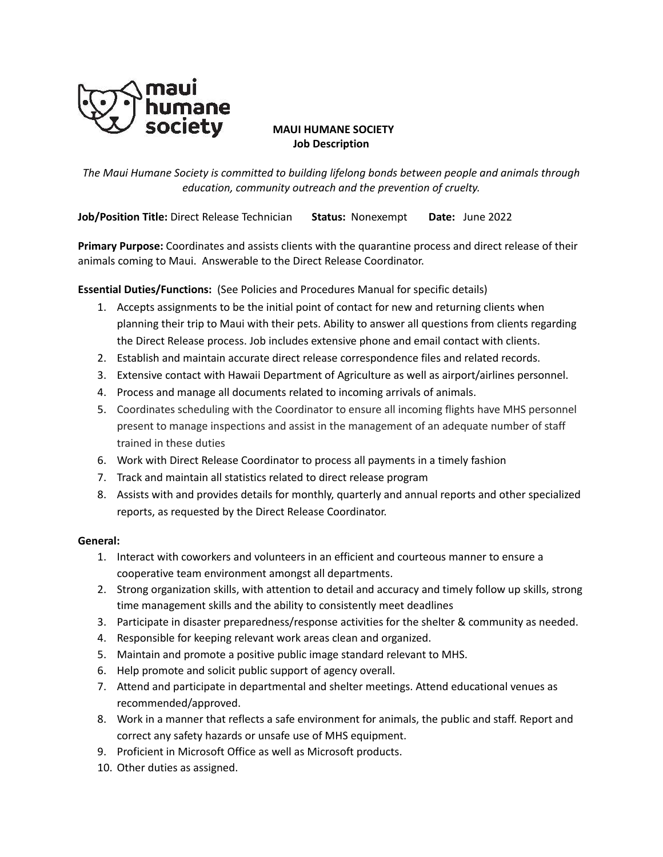

# **MAUI HUMANE SOCIETY Job Description**

*The Maui Humane Society is committed to building lifelong bonds between people and animals through education, community outreach and the prevention of cruelty.*

**Job/Position Title:** Direct Release Technician **Status:** Nonexempt **Date:** June 2022

**Primary Purpose:** Coordinates and assists clients with the quarantine process and direct release of their animals coming to Maui. Answerable to the Direct Release Coordinator.

**Essential Duties/Functions:** (See Policies and Procedures Manual for specific details)

- 1. Accepts assignments to be the initial point of contact for new and returning clients when planning their trip to Maui with their pets. Ability to answer all questions from clients regarding the Direct Release process. Job includes extensive phone and email contact with clients.
- 2. Establish and maintain accurate direct release correspondence files and related records.
- 3. Extensive contact with Hawaii Department of Agriculture as well as airport/airlines personnel.
- 4. Process and manage all documents related to incoming arrivals of animals.
- 5. Coordinates scheduling with the Coordinator to ensure all incoming flights have MHS personnel present to manage inspections and assist in the management of an adequate number of staff trained in these duties
- 6. Work with Direct Release Coordinator to process all payments in a timely fashion
- 7. Track and maintain all statistics related to direct release program
- 8. Assists with and provides details for monthly, quarterly and annual reports and other specialized reports, as requested by the Direct Release Coordinator.

## **General:**

- 1. Interact with coworkers and volunteers in an efficient and courteous manner to ensure a cooperative team environment amongst all departments.
- 2. Strong organization skills, with attention to detail and accuracy and timely follow up skills, strong time management skills and the ability to consistently meet deadlines
- 3. Participate in disaster preparedness/response activities for the shelter & community as needed.
- 4. Responsible for keeping relevant work areas clean and organized.
- 5. Maintain and promote a positive public image standard relevant to MHS.
- 6. Help promote and solicit public support of agency overall.
- 7. Attend and participate in departmental and shelter meetings. Attend educational venues as recommended/approved.
- 8. Work in a manner that reflects a safe environment for animals, the public and staff. Report and correct any safety hazards or unsafe use of MHS equipment.
- 9. Proficient in Microsoft Office as well as Microsoft products.
- 10. Other duties as assigned.